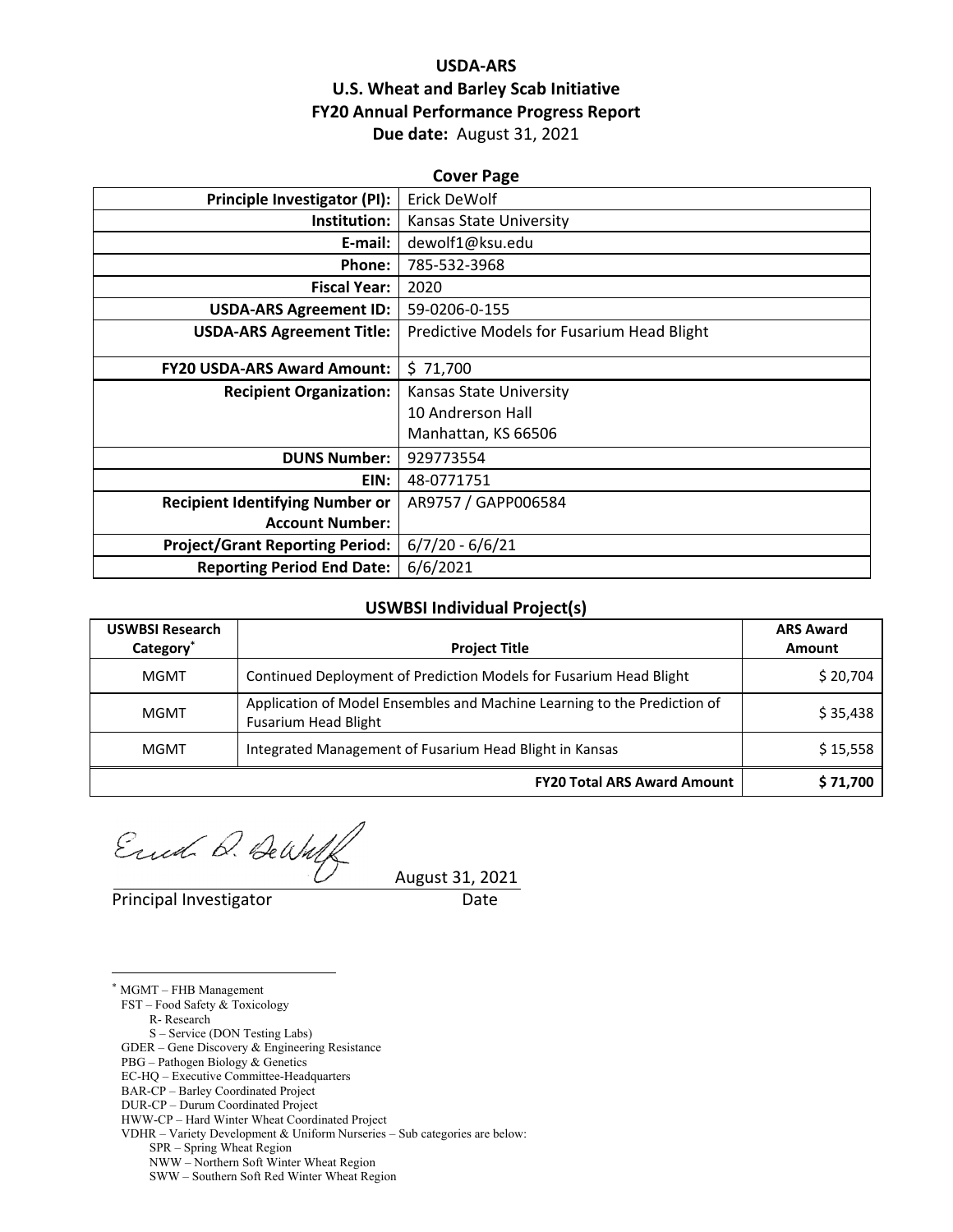# **USDA‐ARS U.S. Wheat and Barley Scab Initiative FY20 Annual Performance Progress Report Due date:** August 31, 2021

| <b>Cover Page</b>                          |  |  |  |  |
|--------------------------------------------|--|--|--|--|
| Erick DeWolf                               |  |  |  |  |
| Kansas State University                    |  |  |  |  |
| dewolf1@ksu.edu                            |  |  |  |  |
| 785-532-3968                               |  |  |  |  |
| 2020                                       |  |  |  |  |
| 59-0206-0-155                              |  |  |  |  |
| Predictive Models for Fusarium Head Blight |  |  |  |  |
| \$71,700                                   |  |  |  |  |
| Kansas State University                    |  |  |  |  |
| 10 Andrerson Hall                          |  |  |  |  |
| Manhattan, KS 66506                        |  |  |  |  |
| 929773554                                  |  |  |  |  |
| 48-0771751                                 |  |  |  |  |
| AR9757 / GAPP006584                        |  |  |  |  |
|                                            |  |  |  |  |
| $6/7/20 - 6/6/21$                          |  |  |  |  |
| 6/6/2021                                   |  |  |  |  |
|                                            |  |  |  |  |

#### **USWBSI Individual Project(s)**

| <b>USWBSI Research</b><br>Category <sup>®</sup> | <b>Project Title</b>                                                                                    | <b>ARS Award</b><br><b>Amount</b> |
|-------------------------------------------------|---------------------------------------------------------------------------------------------------------|-----------------------------------|
| MGMT                                            | Continued Deployment of Prediction Models for Fusarium Head Blight                                      | \$20,704                          |
| MGMT                                            | Application of Model Ensembles and Machine Learning to the Prediction of<br><b>Fusarium Head Blight</b> | \$35,438                          |
| <b>MGMT</b>                                     | Integrated Management of Fusarium Head Blight in Kansas                                                 | \$15,558                          |
|                                                 | <b>FY20 Total ARS Award Amount</b>                                                                      | \$71,700                          |

Erned D. DeWhlf August 31, 2021

Principal Investigator **Date** 

 $\overline{a}$ 

\* MGMT – FHB Management FST – Food Safety & Toxicology R- Research S – Service (DON Testing Labs) GDER – Gene Discovery & Engineering Resistance PBG – Pathogen Biology & Genetics EC-HQ – Executive Committee-Headquarters BAR-CP – Barley Coordinated Project DUR-CP – Durum Coordinated Project HWW-CP – Hard Winter Wheat Coordinated Project VDHR – Variety Development & Uniform Nurseries – Sub categories are below:

SPR – Spring Wheat Region

NWW – Northern Soft Winter Wheat Region

SWW – Southern Soft Red Winter Wheat Region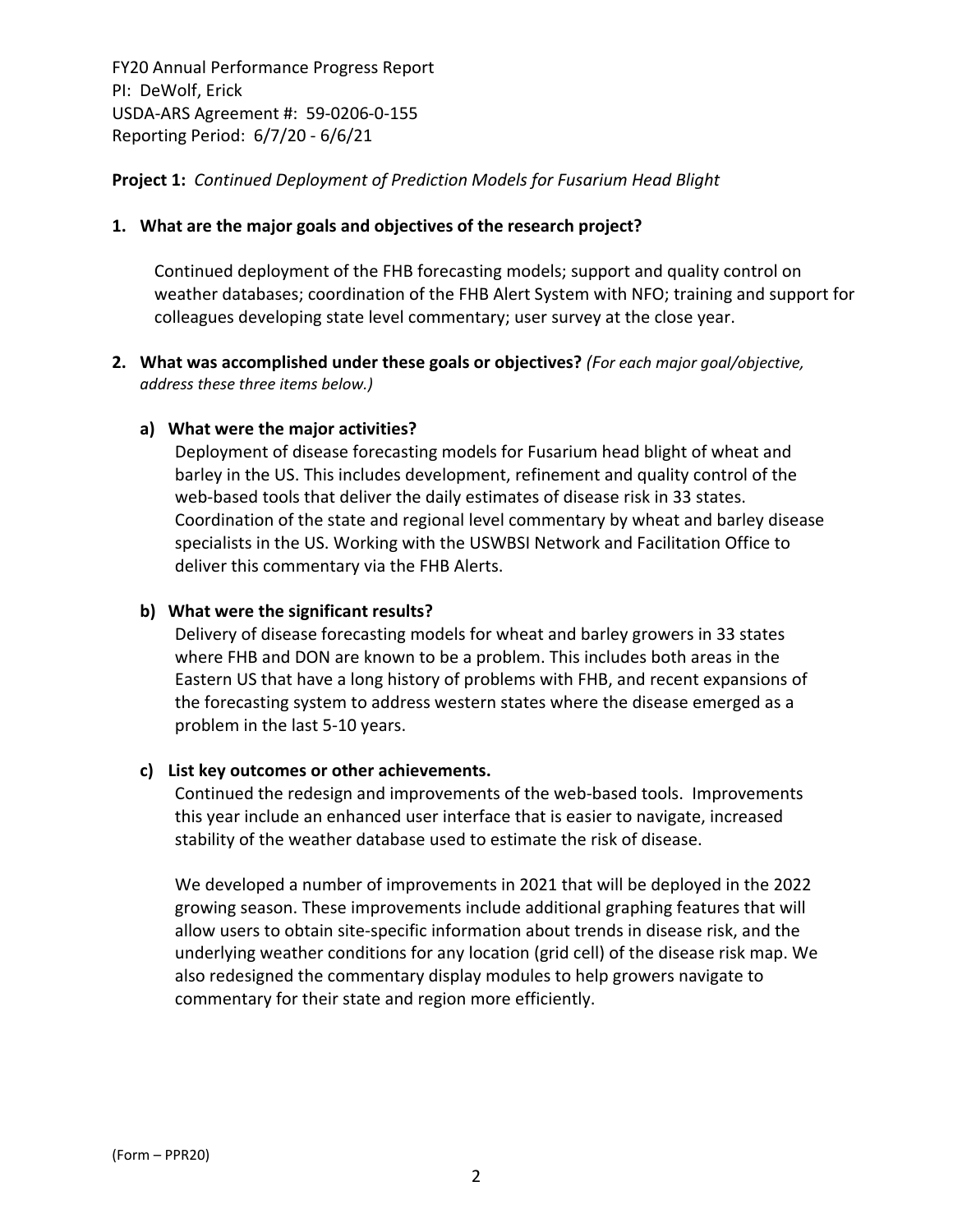**Project 1:** *Continued Deployment of Prediction Models for Fusarium Head Blight*

## **1. What are the major goals and objectives of the research project?**

Continued deployment of the FHB forecasting models; support and quality control on weather databases; coordination of the FHB Alert System with NFO; training and support for colleagues developing state level commentary; user survey at the close year.

**2. What was accomplished under these goals or objectives?** *(For each major goal/objective, address these three items below.)*

## **a) What were the major activities?**

Deployment of disease forecasting models for Fusarium head blight of wheat and barley in the US. This includes development, refinement and quality control of the web-based tools that deliver the daily estimates of disease risk in 33 states. Coordination of the state and regional level commentary by wheat and barley disease specialists in the US. Working with the USWBSI Network and Facilitation Office to deliver this commentary via the FHB Alerts.

## **b) What were the significant results?**

Delivery of disease forecasting models for wheat and barley growers in 33 states where FHB and DON are known to be a problem. This includes both areas in the Eastern US that have a long history of problems with FHB, and recent expansions of the forecasting system to address western states where the disease emerged as a problem in the last 5‐10 years.

### **c) List key outcomes or other achievements.**

Continued the redesign and improvements of the web‐based tools. Improvements this year include an enhanced user interface that is easier to navigate, increased stability of the weather database used to estimate the risk of disease.

We developed a number of improvements in 2021 that will be deployed in the 2022 growing season. These improvements include additional graphing features that will allow users to obtain site‐specific information about trends in disease risk, and the underlying weather conditions for any location (grid cell) of the disease risk map. We also redesigned the commentary display modules to help growers navigate to commentary for their state and region more efficiently.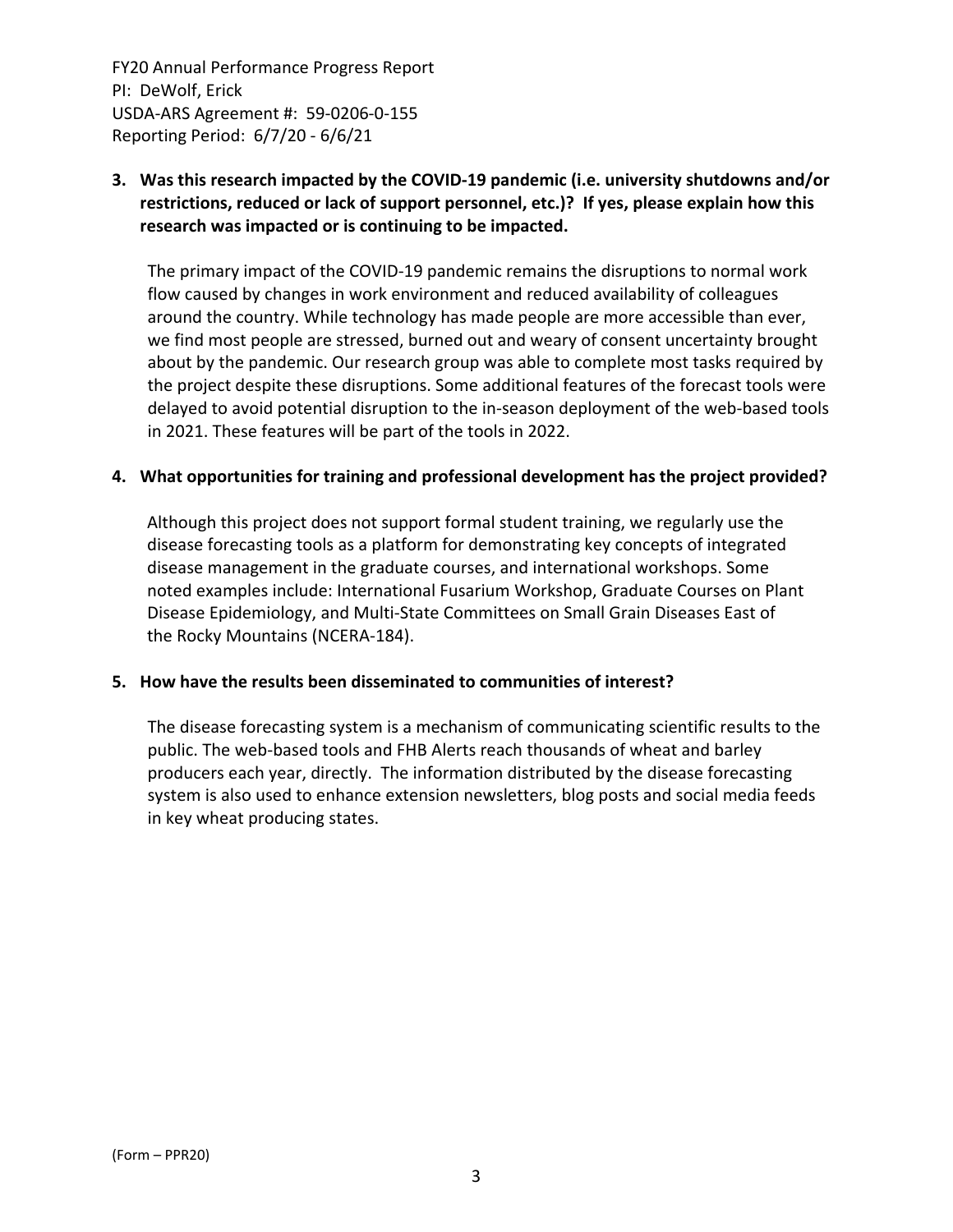# **3. Was this research impacted by the COVID‐19 pandemic (i.e. university shutdowns and/or restrictions, reduced or lack of support personnel, etc.)? If yes, please explain how this research was impacted or is continuing to be impacted.**

The primary impact of the COVID‐19 pandemic remains the disruptions to normal work flow caused by changes in work environment and reduced availability of colleagues around the country. While technology has made people are more accessible than ever, we find most people are stressed, burned out and weary of consent uncertainty brought about by the pandemic. Our research group was able to complete most tasks required by the project despite these disruptions. Some additional features of the forecast tools were delayed to avoid potential disruption to the in‐season deployment of the web‐based tools in 2021. These features will be part of the tools in 2022.

#### **4. What opportunities for training and professional development has the project provided?**

Although this project does not support formal student training, we regularly use the disease forecasting tools as a platform for demonstrating key concepts of integrated disease management in the graduate courses, and international workshops. Some noted examples include: International Fusarium Workshop, Graduate Courses on Plant Disease Epidemiology, and Multi‐State Committees on Small Grain Diseases East of the Rocky Mountains (NCERA‐184).

### **5. How have the results been disseminated to communities of interest?**

The disease forecasting system is a mechanism of communicating scientific results to the public. The web‐based tools and FHB Alerts reach thousands of wheat and barley producers each year, directly. The information distributed by the disease forecasting system is also used to enhance extension newsletters, blog posts and social media feeds in key wheat producing states.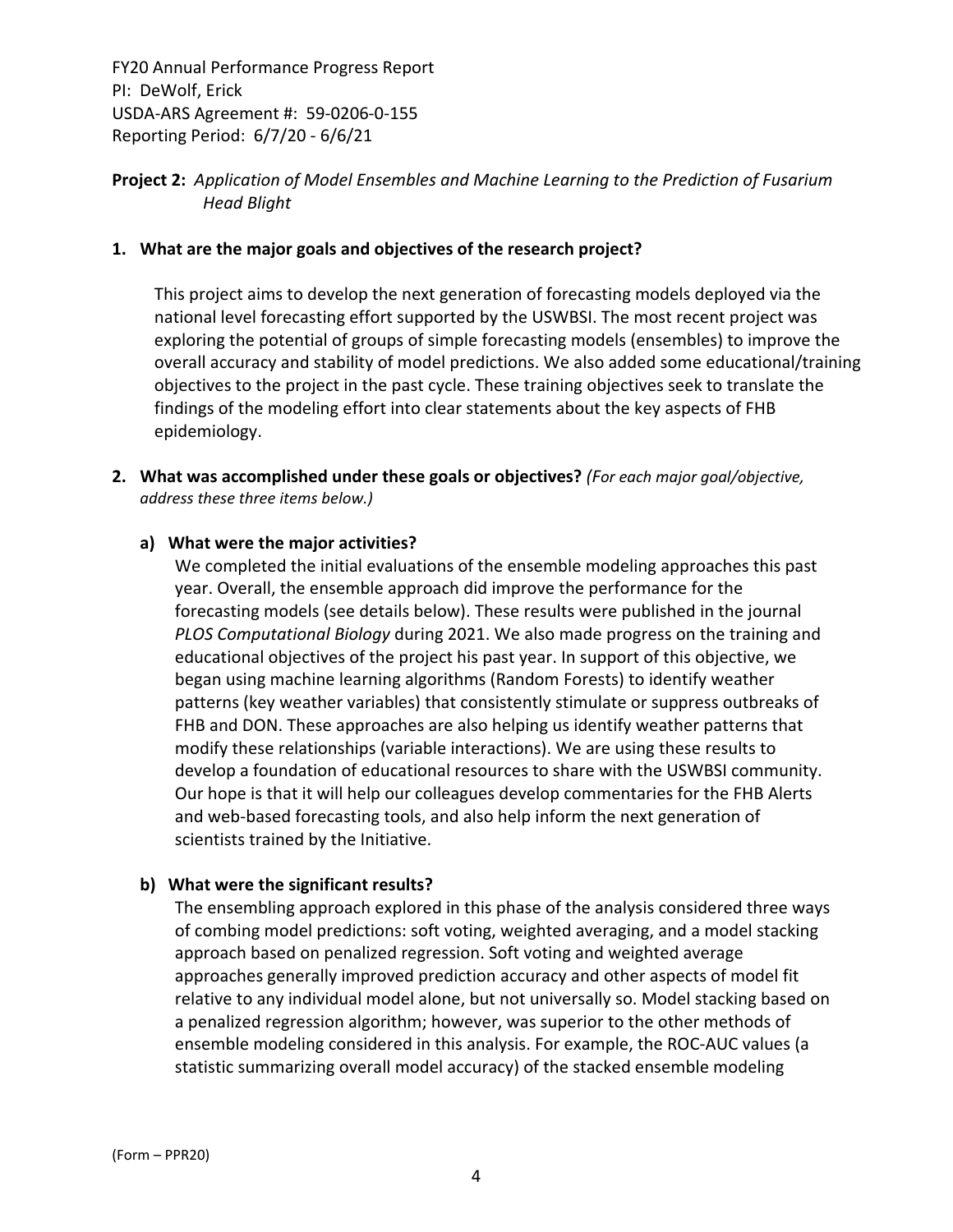# **Project 2:** *Application of Model Ensembles and Machine Learning to the Prediction of Fusarium Head Blight*

## **1. What are the major goals and objectives of the research project?**

This project aims to develop the next generation of forecasting models deployed via the national level forecasting effort supported by the USWBSI. The most recent project was exploring the potential of groups of simple forecasting models (ensembles) to improve the overall accuracy and stability of model predictions. We also added some educational/training objectives to the project in the past cycle. These training objectives seek to translate the findings of the modeling effort into clear statements about the key aspects of FHB epidemiology.

**2. What was accomplished under these goals or objectives?** *(For each major goal/objective, address these three items below.)*

### **a) What were the major activities?**

We completed the initial evaluations of the ensemble modeling approaches this past year. Overall, the ensemble approach did improve the performance for the forecasting models (see details below). These results were published in the journal *PLOS Computational Biology* during 2021. We also made progress on the training and educational objectives of the project his past year. In support of this objective, we began using machine learning algorithms (Random Forests) to identify weather patterns (key weather variables) that consistently stimulate or suppress outbreaks of FHB and DON. These approaches are also helping us identify weather patterns that modify these relationships (variable interactions). We are using these results to develop a foundation of educational resources to share with the USWBSI community. Our hope is that it will help our colleagues develop commentaries for the FHB Alerts and web-based forecasting tools, and also help inform the next generation of scientists trained by the Initiative.

# **b) What were the significant results?**

The ensembling approach explored in this phase of the analysis considered three ways of combing model predictions: soft voting, weighted averaging, and a model stacking approach based on penalized regression. Soft voting and weighted average approaches generally improved prediction accuracy and other aspects of model fit relative to any individual model alone, but not universally so. Model stacking based on a penalized regression algorithm; however, was superior to the other methods of ensemble modeling considered in this analysis. For example, the ROC‐AUC values (a statistic summarizing overall model accuracy) of the stacked ensemble modeling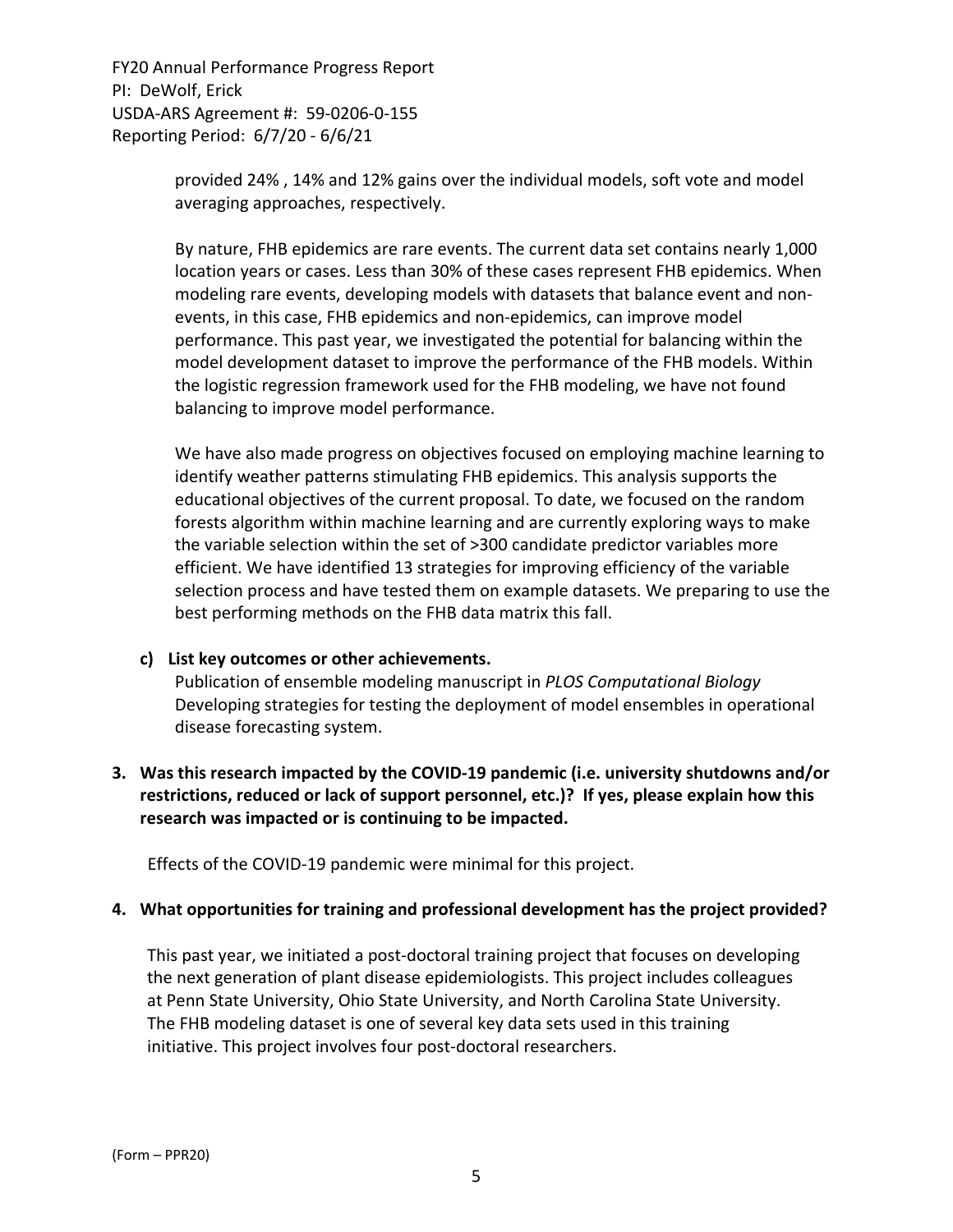> provided 24% , 14% and 12% gains over the individual models, soft vote and model averaging approaches, respectively.

By nature, FHB epidemics are rare events. The current data set contains nearly 1,000 location years or cases. Less than 30% of these cases represent FHB epidemics. When modeling rare events, developing models with datasets that balance event and non‐ events, in this case, FHB epidemics and non‐epidemics, can improve model performance. This past year, we investigated the potential for balancing within the model development dataset to improve the performance of the FHB models. Within the logistic regression framework used for the FHB modeling, we have not found balancing to improve model performance.

We have also made progress on objectives focused on employing machine learning to identify weather patterns stimulating FHB epidemics. This analysis supports the educational objectives of the current proposal. To date, we focused on the random forests algorithm within machine learning and are currently exploring ways to make the variable selection within the set of >300 candidate predictor variables more efficient. We have identified 13 strategies for improving efficiency of the variable selection process and have tested them on example datasets. We preparing to use the best performing methods on the FHB data matrix this fall.

### **c) List key outcomes or other achievements.**

Publication of ensemble modeling manuscript in *PLOS Computational Biology* Developing strategies for testing the deployment of model ensembles in operational disease forecasting system.

# **3. Was this research impacted by the COVID‐19 pandemic (i.e. university shutdowns and/or restrictions, reduced or lack of support personnel, etc.)? If yes, please explain how this research was impacted or is continuing to be impacted.**

Effects of the COVID‐19 pandemic were minimal for this project.

# **4. What opportunities for training and professional development has the project provided?**

This past year, we initiated a post‐doctoral training project that focuses on developing the next generation of plant disease epidemiologists. This project includes colleagues at Penn State University, Ohio State University, and North Carolina State University. The FHB modeling dataset is one of several key data sets used in this training initiative. This project involves four post-doctoral researchers.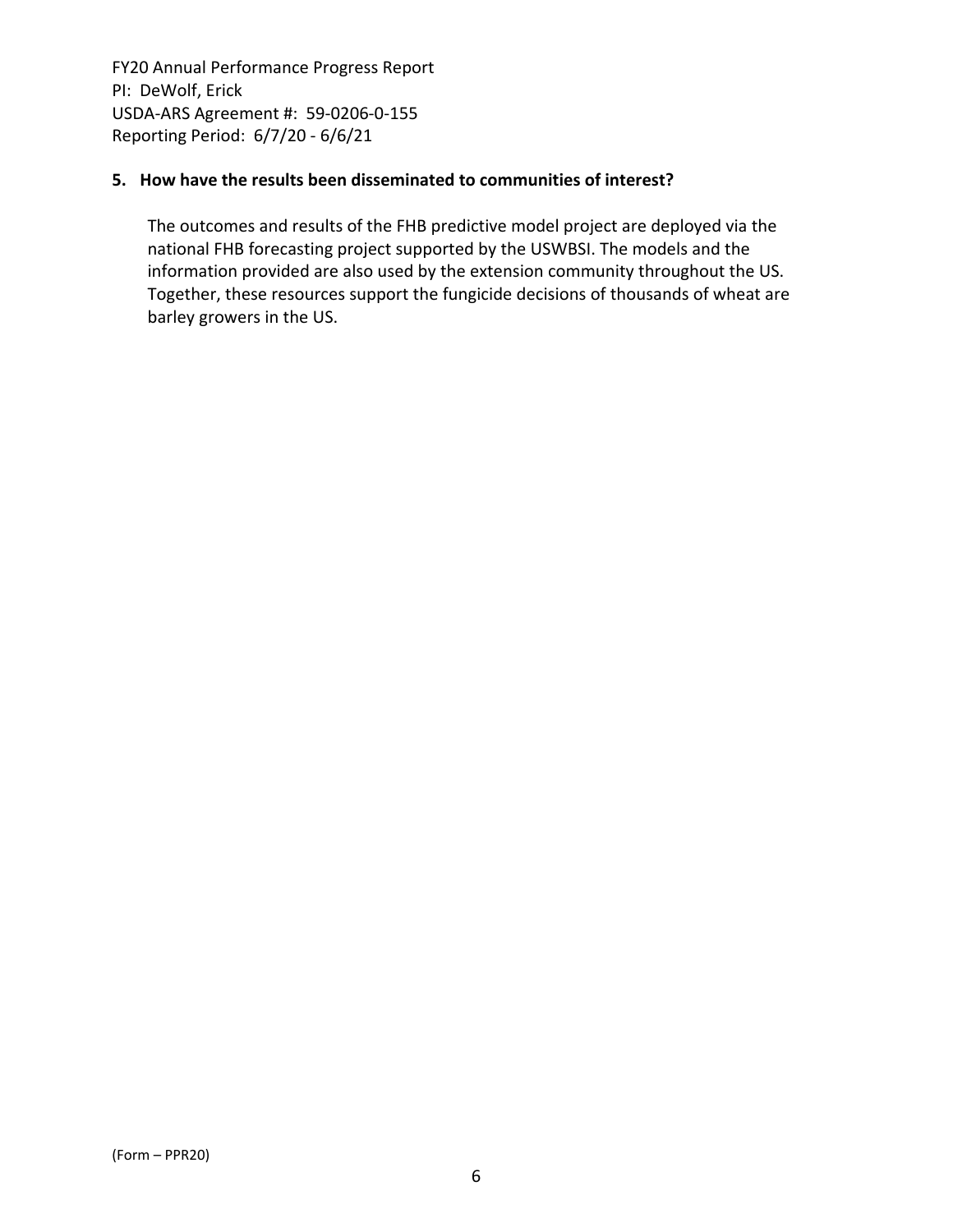## **5. How have the results been disseminated to communities of interest?**

The outcomes and results of the FHB predictive model project are deployed via the national FHB forecasting project supported by the USWBSI. The models and the information provided are also used by the extension community throughout the US. Together, these resources support the fungicide decisions of thousands of wheat are barley growers in the US.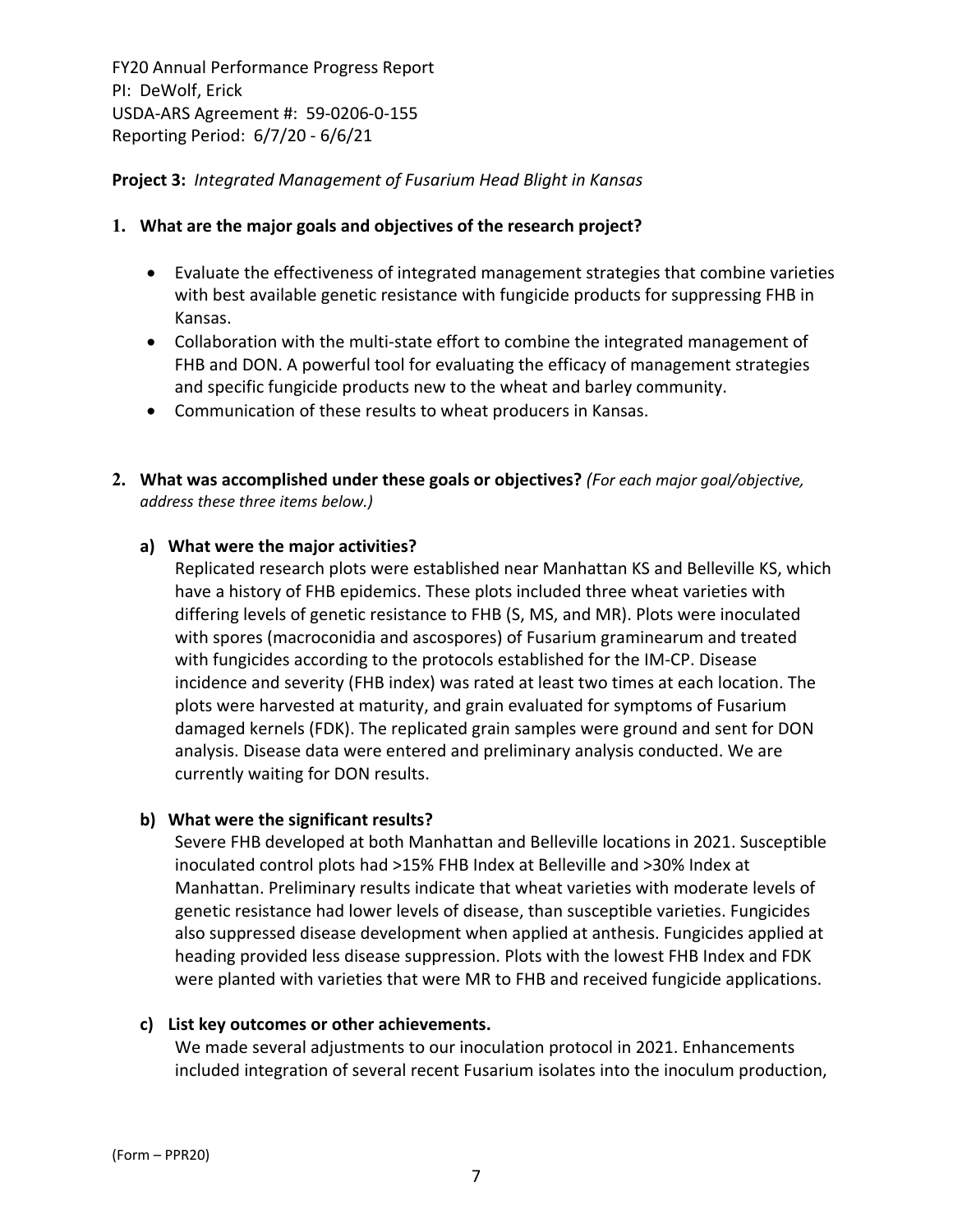## **Project 3:** *Integrated Management of Fusarium Head Blight in Kansas*

### **1. What are the major goals and objectives of the research project?**

- Evaluate the effectiveness of integrated management strategies that combine varieties with best available genetic resistance with fungicide products for suppressing FHB in Kansas.
- Collaboration with the multi‐state effort to combine the integrated management of FHB and DON. A powerful tool for evaluating the efficacy of management strategies and specific fungicide products new to the wheat and barley community.
- Communication of these results to wheat producers in Kansas.
- **2. What was accomplished under these goals or objectives?** *(For each major goal/objective, address these three items below.)*

## **a) What were the major activities?**

Replicated research plots were established near Manhattan KS and Belleville KS, which have a history of FHB epidemics. These plots included three wheat varieties with differing levels of genetic resistance to FHB (S, MS, and MR). Plots were inoculated with spores (macroconidia and ascospores) of Fusarium graminearum and treated with fungicides according to the protocols established for the IM‐CP. Disease incidence and severity (FHB index) was rated at least two times at each location. The plots were harvested at maturity, and grain evaluated for symptoms of Fusarium damaged kernels (FDK). The replicated grain samples were ground and sent for DON analysis. Disease data were entered and preliminary analysis conducted. We are currently waiting for DON results.

# **b) What were the significant results?**

Severe FHB developed at both Manhattan and Belleville locations in 2021. Susceptible inoculated control plots had >15% FHB Index at Belleville and >30% Index at Manhattan. Preliminary results indicate that wheat varieties with moderate levels of genetic resistance had lower levels of disease, than susceptible varieties. Fungicides also suppressed disease development when applied at anthesis. Fungicides applied at heading provided less disease suppression. Plots with the lowest FHB Index and FDK were planted with varieties that were MR to FHB and received fungicide applications.

### **c) List key outcomes or other achievements.**

We made several adjustments to our inoculation protocol in 2021. Enhancements included integration of several recent Fusarium isolates into the inoculum production,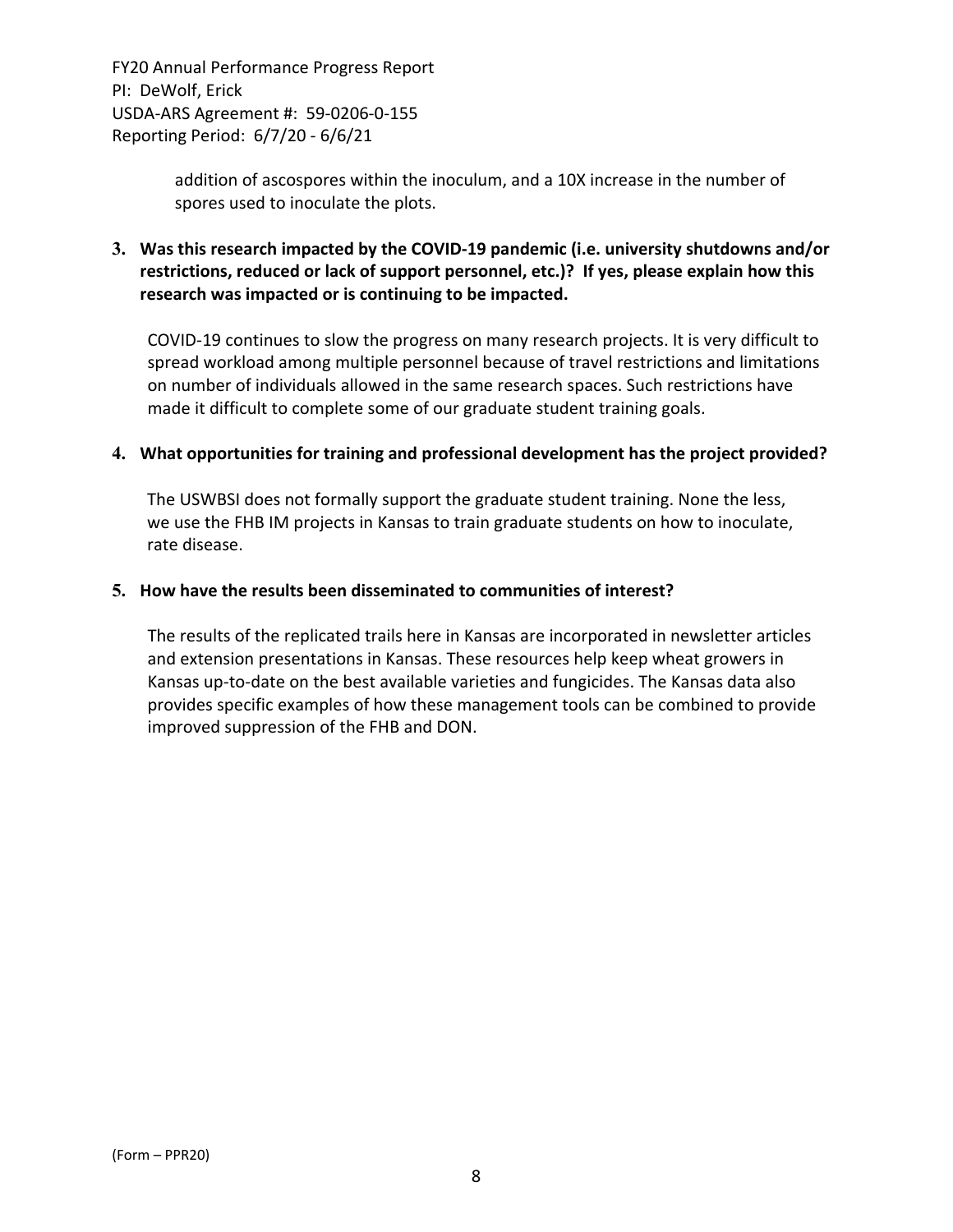> addition of ascospores within the inoculum, and a 10X increase in the number of spores used to inoculate the plots.

# **3. Was this research impacted by the COVID‐19 pandemic (i.e. university shutdowns and/or restrictions, reduced or lack of support personnel, etc.)? If yes, please explain how this research was impacted or is continuing to be impacted.**

COVID‐19 continues to slow the progress on many research projects. It is very difficult to spread workload among multiple personnel because of travel restrictions and limitations on number of individuals allowed in the same research spaces. Such restrictions have made it difficult to complete some of our graduate student training goals.

### **4. What opportunities for training and professional development has the project provided?**

The USWBSI does not formally support the graduate student training. None the less, we use the FHB IM projects in Kansas to train graduate students on how to inoculate, rate disease.

## **5. How have the results been disseminated to communities of interest?**

The results of the replicated trails here in Kansas are incorporated in newsletter articles and extension presentations in Kansas. These resources help keep wheat growers in Kansas up‐to‐date on the best available varieties and fungicides. The Kansas data also provides specific examples of how these management tools can be combined to provide improved suppression of the FHB and DON.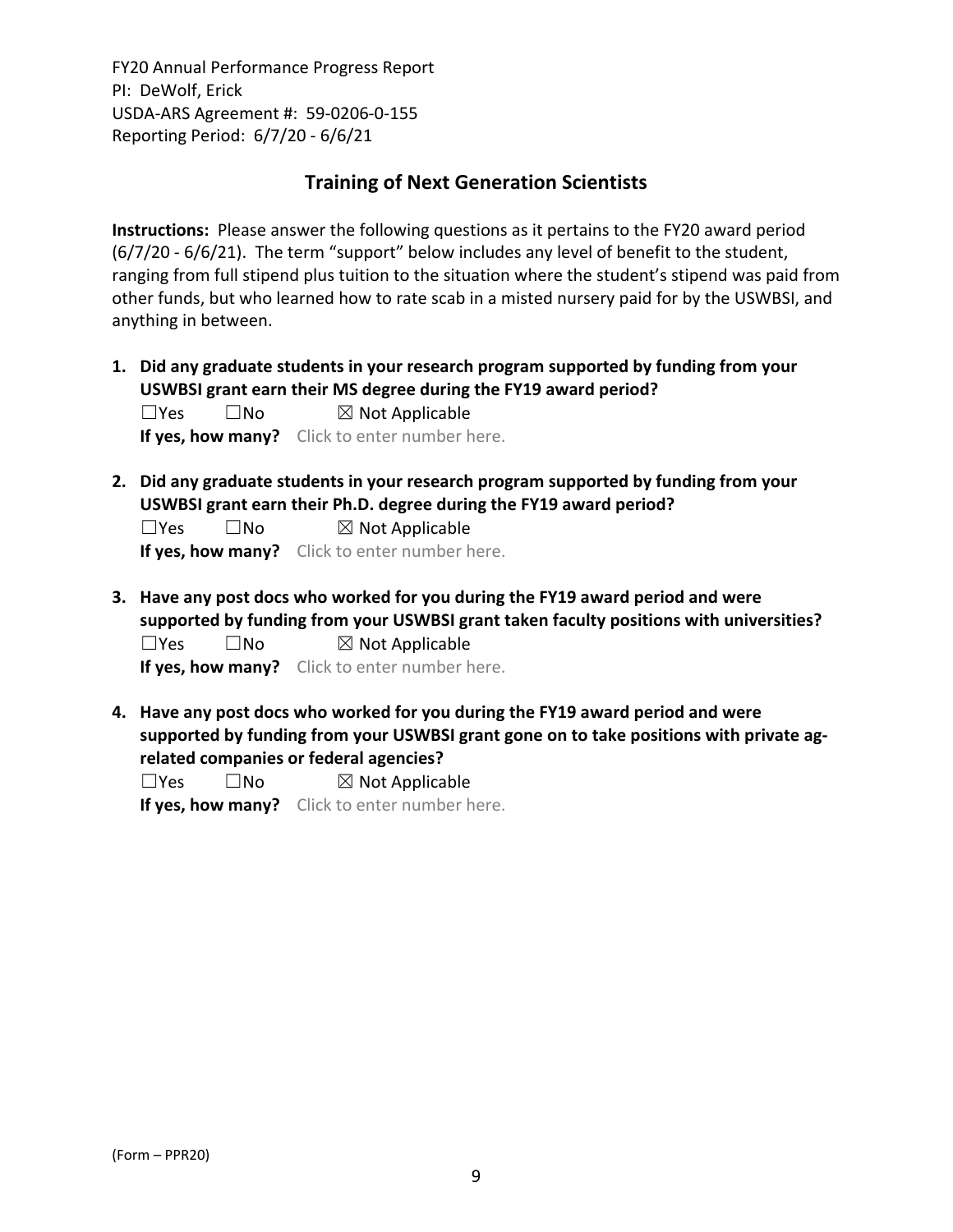# **Training of Next Generation Scientists**

**Instructions:** Please answer the following questions as it pertains to the FY20 award period (6/7/20 ‐ 6/6/21). The term "support" below includes any level of benefit to the student, ranging from full stipend plus tuition to the situation where the student's stipend was paid from other funds, but who learned how to rate scab in a misted nursery paid for by the USWBSI, and anything in between.

**1. Did any graduate students in your research program supported by funding from your USWBSI grant earn their MS degree during the FY19 award period?**  $\square$ Yes  $\square$ No  $\square$  Not Applicable

**If yes, how many?** Click to enter number here.

**2. Did any graduate students in your research program supported by funding from your USWBSI grant earn their Ph.D. degree during the FY19 award period?**

 $\square$ Yes  $\square$ No  $\square$  Not Applicable

**If yes, how many?** Click to enter number here.

**3. Have any post docs who worked for you during the FY19 award period and were supported by funding from your USWBSI grant taken faculty positions with universities?**  $\square$ Yes  $\square$ No  $\square$  Not Applicable

**If yes, how many?** Click to enter number here.

**4. Have any post docs who worked for you during the FY19 award period and were supported by funding from your USWBSI grant gone on to take positions with private ag‐ related companies or federal agencies?**

 $\square$ Yes  $\square$ No  $\square$  Not Applicable **If yes, how many?** Click to enter number here.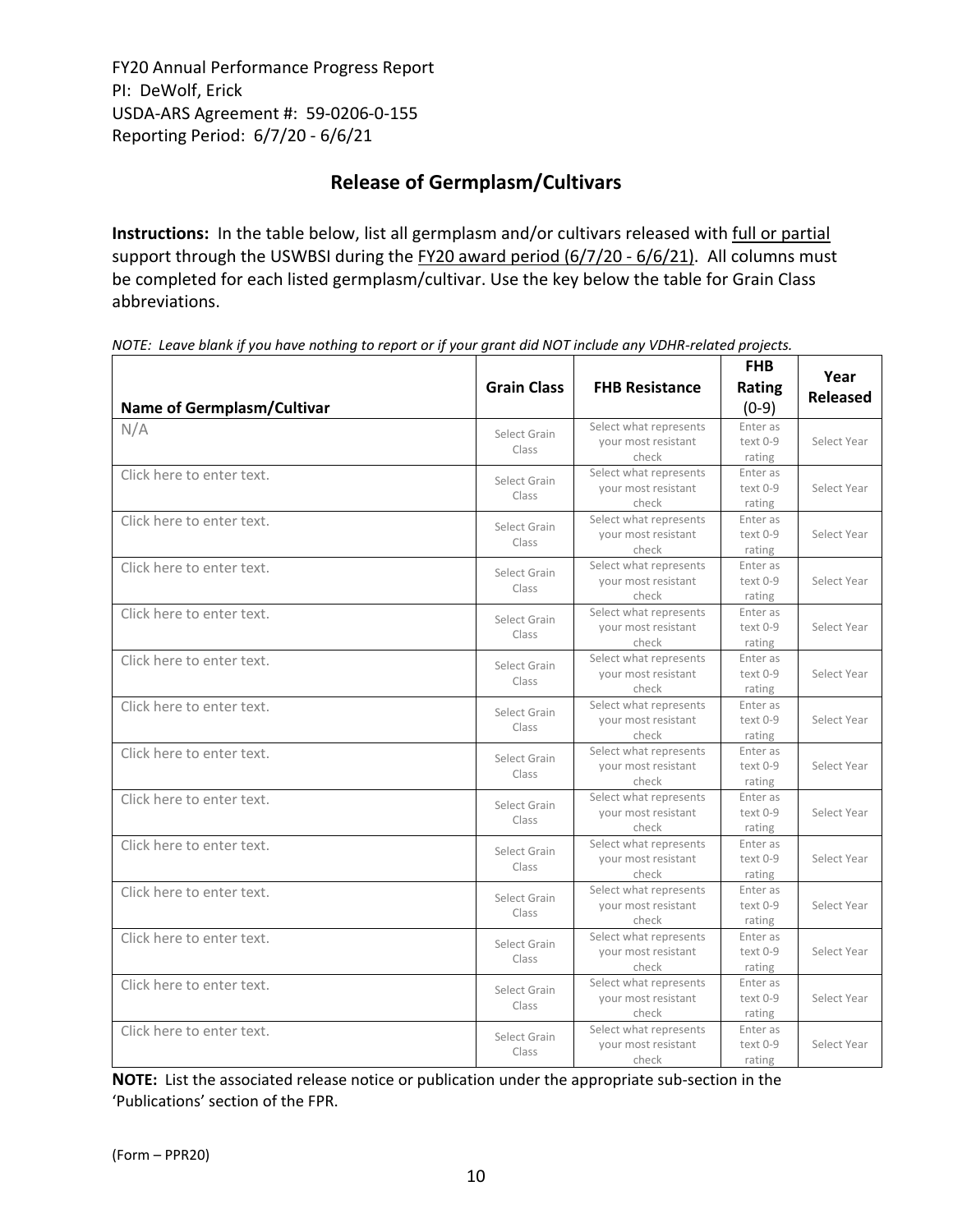# **Release of Germplasm/Cultivars**

**Instructions:** In the table below, list all germplasm and/or cultivars released with full or partial support through the USWBSI during the FY20 award period (6/7/20 - 6/6/21). All columns must be completed for each listed germplasm/cultivar. Use the key below the table for Grain Class abbreviations. 

NOTE: Leave blank if you have nothing to report or if your grant did NOT include any VDHR-related projects.

| <b>Name of Germplasm/Cultivar</b> | <b>Grain Class</b>    | <b>FHB Resistance</b>                                  | <b>FHB</b><br>Rating<br>$(0-9)$  | Year<br><b>Released</b> |
|-----------------------------------|-----------------------|--------------------------------------------------------|----------------------------------|-------------------------|
| N/A                               | Select Grain<br>Class | Select what represents<br>your most resistant<br>check | Enter as<br>text 0-9<br>rating   | Select Year             |
| Click here to enter text.         | Select Grain<br>Class | Select what represents<br>your most resistant<br>check | Enter as<br>text 0-9<br>rating   | Select Year             |
| Click here to enter text.         | Select Grain<br>Class | Select what represents<br>vour most resistant<br>check | Enter as<br>$text 0-9$<br>rating | Select Year             |
| Click here to enter text.         | Select Grain<br>Class | Select what represents<br>your most resistant<br>check | Enter as<br>text 0-9<br>rating   | Select Year             |
| Click here to enter text.         | Select Grain<br>Class | Select what represents<br>your most resistant<br>check | Enter as<br>text 0-9<br>rating   | Select Year             |
| Click here to enter text.         | Select Grain<br>Class | Select what represents<br>your most resistant<br>check | Enter as<br>text 0-9<br>rating   | Select Year             |
| Click here to enter text.         | Select Grain<br>Class | Select what represents<br>your most resistant<br>check | Enter as<br>text 0-9<br>rating   | Select Year             |
| Click here to enter text.         | Select Grain<br>Class | Select what represents<br>your most resistant<br>check | Enter as<br>text 0-9<br>rating   | Select Year             |
| Click here to enter text.         | Select Grain<br>Class | Select what represents<br>your most resistant<br>check | Enter as<br>text 0-9<br>rating   | Select Year             |
| Click here to enter text.         | Select Grain<br>Class | Select what represents<br>your most resistant<br>check | Enter as<br>text 0-9<br>rating   | Select Year             |
| Click here to enter text.         | Select Grain<br>Class | Select what represents<br>your most resistant<br>check | Enter as<br>text 0-9<br>rating   | Select Year             |
| Click here to enter text.         | Select Grain<br>Class | Select what represents<br>your most resistant<br>check | Enter as<br>text 0-9<br>rating   | Select Year             |
| Click here to enter text.         | Select Grain<br>Class | Select what represents<br>your most resistant<br>check | Enter as<br>text 0-9<br>rating   | Select Year             |
| Click here to enter text.         | Select Grain<br>Class | Select what represents<br>your most resistant<br>check | Enter as<br>text 0-9<br>rating   | Select Year             |

**NOTE:** List the associated release notice or publication under the appropriate sub-section in the 'Publications' section of the FPR.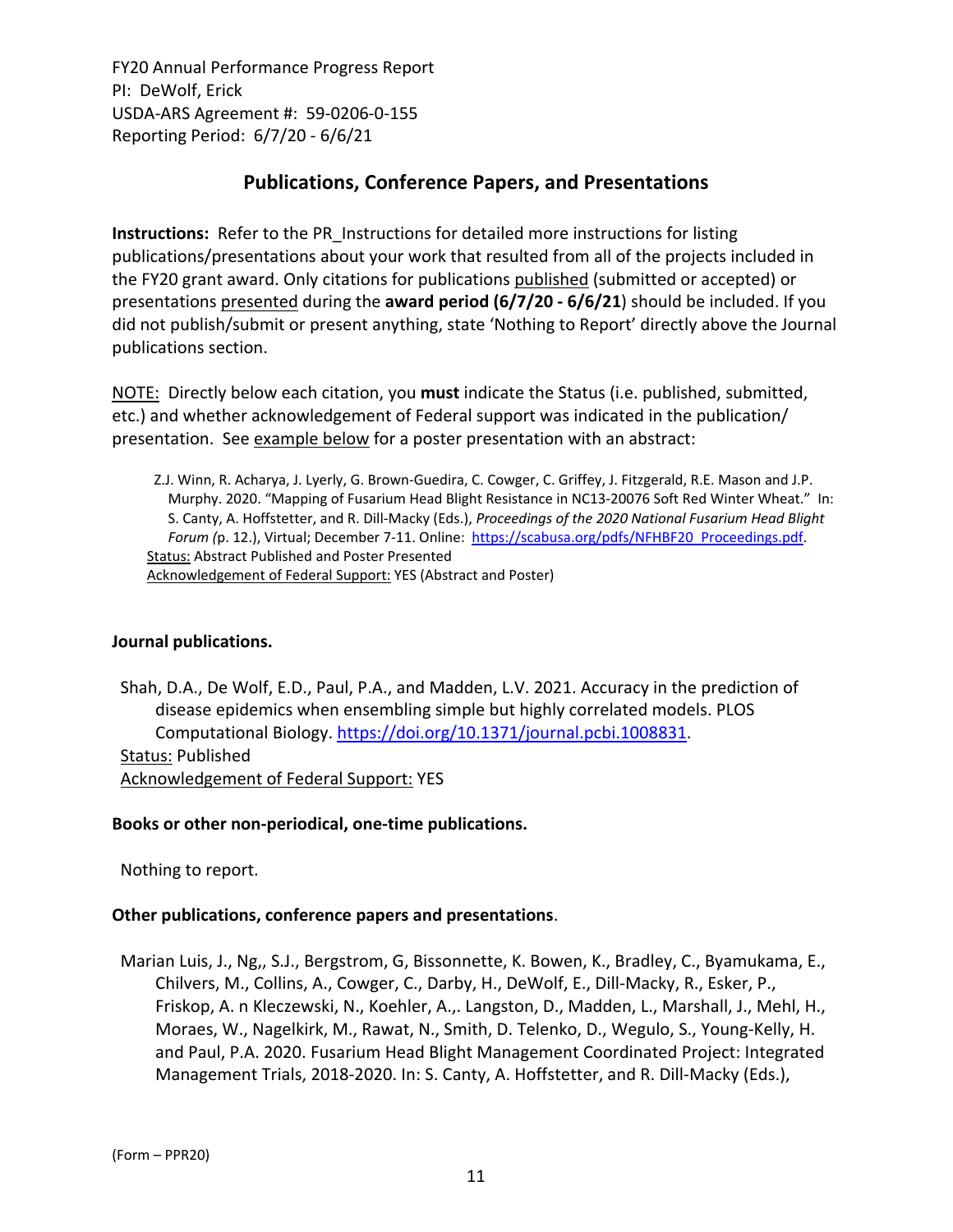# **Publications, Conference Papers, and Presentations**

**Instructions:** Refer to the PR\_Instructions for detailed more instructions for listing publications/presentations about your work that resulted from all of the projects included in the FY20 grant award. Only citations for publications published (submitted or accepted) or presentations presented during the **award period (6/7/20 ‐ 6/6/21**) should be included. If you did not publish/submit or present anything, state 'Nothing to Report' directly above the Journal publications section.

NOTE: Directly below each citation, you **must** indicate the Status (i.e. published, submitted, etc.) and whether acknowledgement of Federal support was indicated in the publication/ presentation. See example below for a poster presentation with an abstract:

Z.J. Winn, R. Acharya, J. Lyerly, G. Brown‐Guedira, C. Cowger, C. Griffey, J. Fitzgerald, R.E. Mason and J.P. Murphy. 2020. "Mapping of Fusarium Head Blight Resistance in NC13‐20076 Soft Red Winter Wheat." In: S. Canty, A. Hoffstetter, and R. Dill‐Macky (Eds.), *Proceedings of the 2020 National Fusarium Head Blight Forum (*p. 12.), Virtual; December 7‐11. Online: https://scabusa.org/pdfs/NFHBF20\_Proceedings.pdf. Status: Abstract Published and Poster Presented Acknowledgement of Federal Support: YES (Abstract and Poster)

### **Journal publications.**

Shah, D.A., De Wolf, E.D., Paul, P.A., and Madden, L.V. 2021. Accuracy in the prediction of disease epidemics when ensembling simple but highly correlated models. PLOS Computational Biology. https://doi.org/10.1371/journal.pcbi.1008831. Status: Published Acknowledgement of Federal Support: YES

### **Books or other non‐periodical, one‐time publications.**

Nothing to report.

### **Other publications, conference papers and presentations**.

Marian Luis, J., Ng,, S.J., Bergstrom, G, Bissonnette, K. Bowen, K., Bradley, C., Byamukama, E., Chilvers, M., Collins, A., Cowger, C., Darby, H., DeWolf, E., Dill‐Macky, R., Esker, P., Friskop, A. n Kleczewski, N., Koehler, A.,. Langston, D., Madden, L., Marshall, J., Mehl, H., Moraes, W., Nagelkirk, M., Rawat, N., Smith, D. Telenko, D., Wegulo, S., Young‐Kelly, H. and Paul, P.A. 2020. Fusarium Head Blight Management Coordinated Project: Integrated Management Trials, 2018‐2020. In: S. Canty, A. Hoffstetter, and R. Dill‐Macky (Eds.),